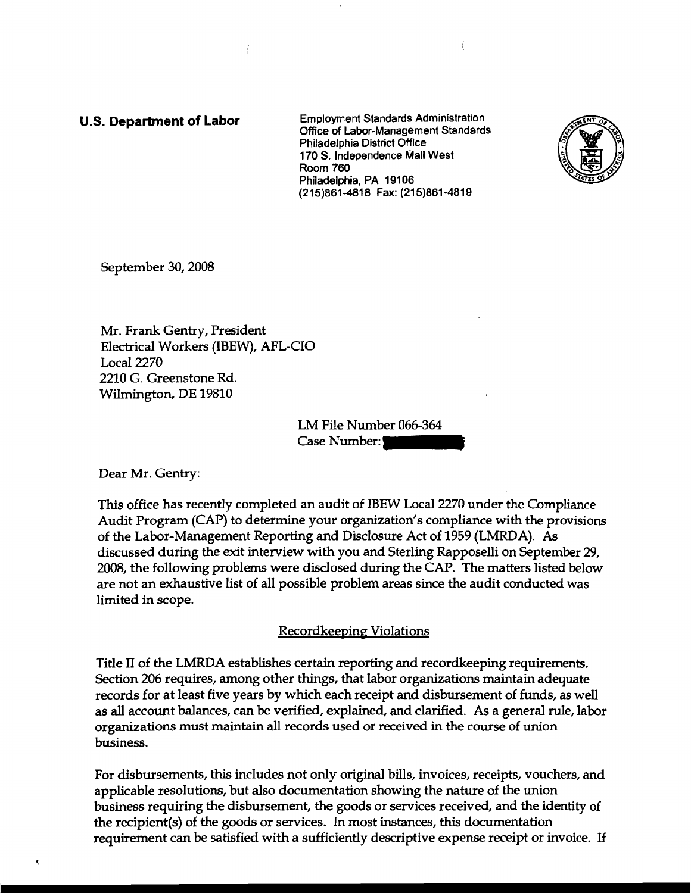u.s. **Department of Labor** Employment Standards Administration Office of Labor-Management Standards Philadelphia District Office 170 S. Independence Mall West Room 760 Philadelphia, PA 19106 (215)861-4818 Fax: (215)861-4819



September 3D, 2008

Mr. Frank Gentry, President Electrical Workers (IBEW), AFL-CIO Local 2270 2210 G. Greenstone Rd. Wilmington, DE 19810

> LM File Number 066-364 Case Number:

Dear Mr. Gentry:

This office has recently completed an audit of IBEW Local 2270 under the Compliance Audit Program (CAP) to determine your organization's compliance with the provisions of the Labor-Management Reporting and Disclosure Act of 1959 (LMRDA). As discussed during the exit interview with you and Sterling Rapposelli on September 29, 2008, the following problems were disclosed during the CAP. The matters listed below are not an exhaustive list of all possible problem areas since the audit conducted was limited in scope.

## Recordkeeping Violations

Title II of the LMRDA establishes certain reporting and recordkeeping requirements. Section 206 requires, among other things, that labor organizations maintain adequate records for at least five years by which each receipt and disbursement of funds, as well as all account balances, can be verified, explained, and clarified. As a general rule, labor organizations must maintain all records used or received in the course of union business.

For disbursements, this includes not only original bills, invoices, receipts, vouchers, and applicable resolutions, but also documentation showing the nature of the union business requiring the disbursement, the goods or services received, and the identity of the recipient(s) of the goods or services. In most instances, this documentation requirement can be satisfied with a sufficiently descriptive expense receipt or invoice. If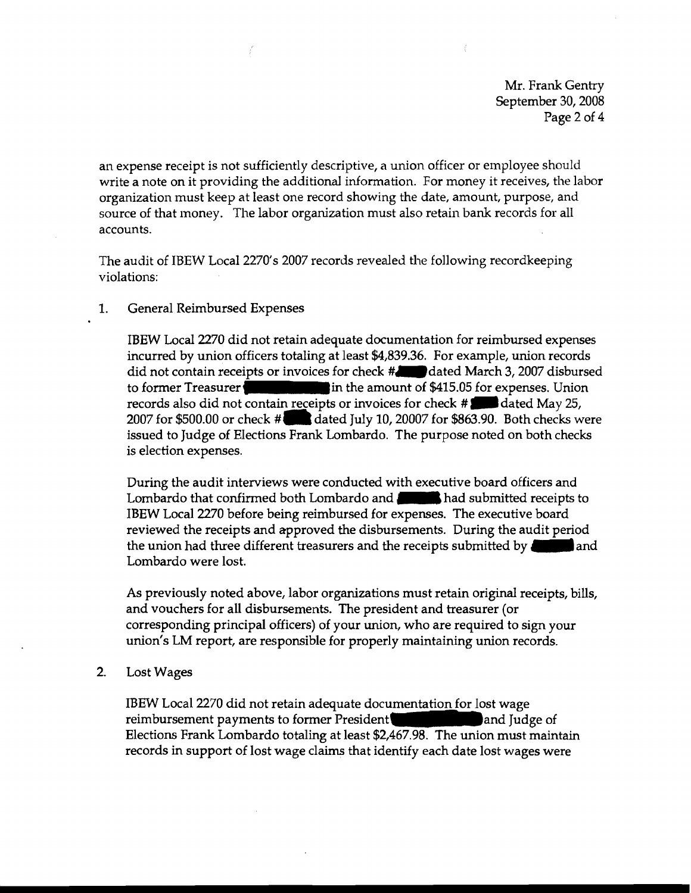Mr. Frank Gentry September 30, 2008 Page 2 of 4

an expense receipt is not sufficiently descriptive, a union officer or employee should write a note on it providing the additional information. For money it receives, the labor organization must keep at least one record showing the date, amount, purpose, and source of that money. The labor organization must also retain bank records for all accounts.

The audit of IBEW Local 2270's 2007 records revealed the following recordkeeping violations:

## 1. General Reimbursed Expenses

IBEW Local 2270 did not retain adequate documentation for reimbursed expenses incurred by union officers totaling at least \$4,839.36. For example, union records did not contain receipts or invoices for check  $\sharp_{\mathbf{d}}$  dated March 3, 2007 disbursed to former Treasurer in the amount of \$415.05 for expenses. Union records also did not contain receipts or invoices for check #. dated May 25, 2007 for \$500.00 or check **#1Ia** dated July 10, 20007 for \$863.90. Both checks were issued to Judge of Elections Frank Lombardo. The purpose noted on both checks is election expenses.

During the audit interviews were conducted with executive board officers and Lombardo that confirmed both Lombardo and **had submitted receipts to** IBEW Local 2270 before being reimbursed for expenses. The executive board reviewed the receipts and approved the disbursements. During the audit period<br>the union had three different treasurers and the receipts submitted by **an original** and Lombardo were lost.

As previously noted above, labor organizations must retain original receipts, bills, and vouchers for all disbursements. The president and treasurer (or corresponding principal officers) of your union, who are required to sign your union's LM report, are responsible for properly maintaining union records.

2. Lost Wages

IBEW Local 2270 did not retain adequate documentation for lost wage reimbursement payments to former President and Judge of Elections Frank Lombardo totaling at least \$2,467.98. The union must maintain records in support of lost wage claims that identify each date lost wages were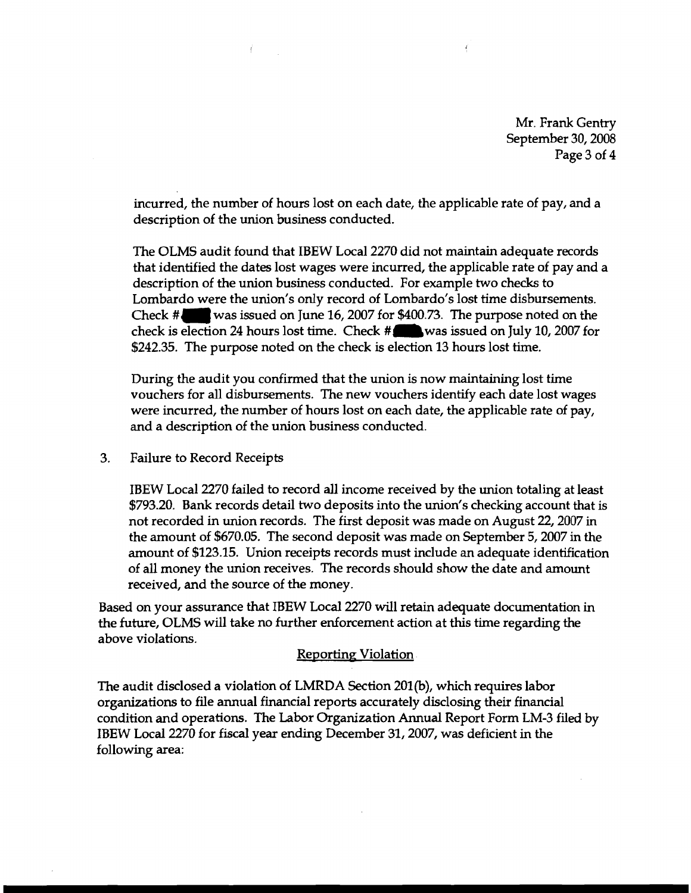Mr. Frank Gentry September 30, 2008 Page 3 of 4

incurred, the number of hours lost on each date, the applicable rate of pay, and a description of the union business conducted.

The OLMS audit found that IBEW Local 2270 did not maintain adequate records that identified the dates lost wages were incurred, the applicable rate of pay and a description of the union business conducted. For example two checks to Lombardo were the union's only record of Lombardo's lost time disbursements. Check #"wasissued on June 16, 2007 for \$400.73. The purpose noted on the check is election 24 hours lost time. Check  $\#$  was issued on July 10, 2007 for \$242.35. The purpose noted on the check is election 13 hours lost time.

During the audit you confirmed that the union is now maintaining lost time vouchers for all disbursements. The new vouchers identify each date lost wages were incurred, the number of hours lost on each date, the applicable rate of pay, and a description of the union business conducted.

3. Failure to Record Receipts

IBEW Local 2270 failed to record all income received by the union totaling at least \$793.20. Bank records detail two deposits into the union's checking account that is not recorded in union records. The first deposit was made on August 22, 2007 in the amount of \$670.05. The second deposit was made on September 5, 2007 in the amount of \$123.15. Union receipts records must include an adequate identification of all money the union receives. The records should show the date and amount received, and the source of the money.

Based on your assurance that IBEW Local 2270 will retain adequate documentation in the future, OLMS will take no further enforcement action at this time regarding the above violations.

## Reporting Violation

The audit disclosed a violation of LMRDA Section 201(b), which requires labor organizations to file annual financial reports accurately disclosing their financial condition and operations. The Labor Organization Annual Report Form LM-3 filed by IBEW Local 2270 for fiscal year ending December 31, 2007, was deficient in the following area: